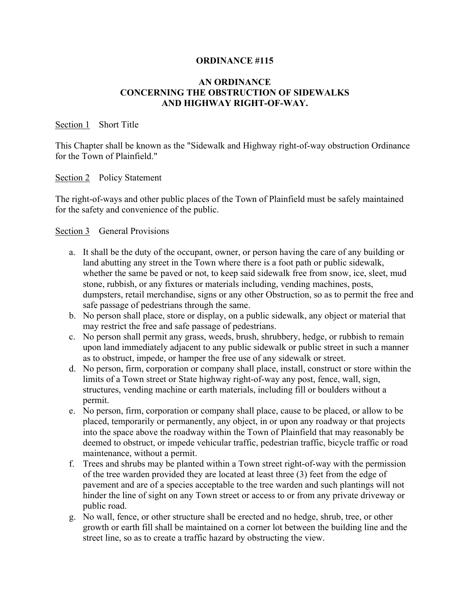### **ORDINANCE #115**

# **AN ORDINANCE CONCERNING THE OBSTRUCTION OF SIDEWALKS AND HIGHWAY RIGHT-OF-WAY.**

#### Section 1 Short Title

This Chapter shall be known as the "Sidewalk and Highway right-of-way obstruction Ordinance for the Town of Plainfield."

### Section 2 Policy Statement

The right-of-ways and other public places of the Town of Plainfield must be safely maintained for the safety and convenience of the public.

### Section 3 General Provisions

- a. It shall be the duty of the occupant, owner, or person having the care of any building or land abutting any street in the Town where there is a foot path or public sidewalk, whether the same be paved or not, to keep said sidewalk free from snow, ice, sleet, mud stone, rubbish, or any fixtures or materials including, vending machines, posts, dumpsters, retail merchandise, signs or any other Obstruction, so as to permit the free and safe passage of pedestrians through the same.
- b. No person shall place, store or display, on a public sidewalk, any object or material that may restrict the free and safe passage of pedestrians.
- c. No person shall permit any grass, weeds, brush, shrubbery, hedge, or rubbish to remain upon land immediately adjacent to any public sidewalk or public street in such a manner as to obstruct, impede, or hamper the free use of any sidewalk or street.
- d. No person, firm, corporation or company shall place, install, construct or store within the limits of a Town street or State highway right-of-way any post, fence, wall, sign, structures, vending machine or earth materials, including fill or boulders without a permit.
- e. No person, firm, corporation or company shall place, cause to be placed, or allow to be placed, temporarily or permanently, any object, in or upon any roadway or that projects into the space above the roadway within the Town of Plainfield that may reasonably be deemed to obstruct, or impede vehicular traffic, pedestrian traffic, bicycle traffic or road maintenance, without a permit.
- f. Trees and shrubs may be planted within a Town street right-of-way with the permission of the tree warden provided they are located at least three (3) feet from the edge of pavement and are of a species acceptable to the tree warden and such plantings will not hinder the line of sight on any Town street or access to or from any private driveway or public road.
- g. No wall, fence, or other structure shall be erected and no hedge, shrub, tree, or other growth or earth fill shall be maintained on a corner lot between the building line and the street line, so as to create a traffic hazard by obstructing the view.